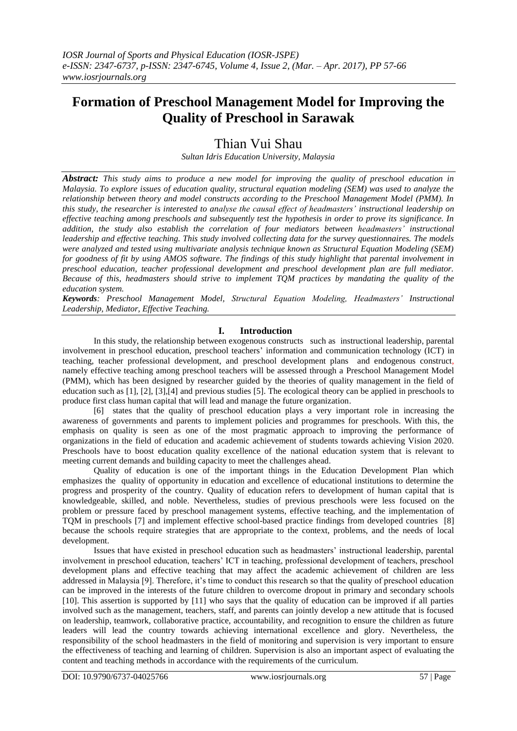# **Formation of Preschool Management Model for Improving the Quality of Preschool in Sarawak**

## Thian Vui Shau

*Sultan Idris Education University, Malaysia*

*Abstract: This study aims to produce a new model for improving the quality of preschool education in Malaysia. To explore issues of education quality, structural equation modeling (SEM) was used to analyze the relationship between theory and model constructs according to the Preschool Management Model (PMM). In this study, the researcher is interested to analyse the causal effect of headmasters' instructional leadership on effective teaching among preschools and subsequently test the hypothesis in order to prove its significance. In addition, the study also establish the correlation of four mediators between headmasters' instructional leadership and effective teaching. This study involved collecting data for the survey questionnaires. The models were analyzed and tested using multivariate analysis technique known as Structural Equation Modeling (SEM) for goodness of fit by using AMOS software. The findings of this study highlight that parental involvement in preschool education, teacher professional development and preschool development plan are full mediator. Because of this, headmasters should strive to implement TQM practices by mandating the quality of the education system.* 

*Keywords: Preschool Management Model, Structural Equation Modeling, Headmasters' Instructional Leadership, Mediator, Effective Teaching.*

### **I. Introduction**

In this study, the relationship between exogenous constructs such as instructional leadership, parental involvement in preschool education, preschool teachers' information and communication technology (ICT) in teaching, teacher professional development, and preschool development plans and endogenous construct, namely effective teaching among preschool teachers will be assessed through a Preschool Management Model (PMM), which has been designed by researcher guided by the theories of quality management in the field of education such as [1], [2], [3],[4] and previous studies [5]. The ecological theory can be applied in preschools to produce first class human capital that will lead and manage the future organization.

[6] states that the quality of preschool education plays a very important role in increasing the awareness of governments and parents to implement policies and programmes for preschools. With this, the emphasis on quality is seen as one of the most pragmatic approach to improving the performance of organizations in the field of education and academic achievement of students towards achieving Vision 2020. Preschools have to boost education quality excellence of the national education system that is relevant to meeting current demands and building capacity to meet the challenges ahead.

Quality of education is one of the important things in the Education Development Plan which emphasizes the quality of opportunity in education and excellence of educational institutions to determine the progress and prosperity of the country. Quality of education refers to development of human capital that is knowledgeable, skilled, and noble. Nevertheless, studies of previous preschools were less focused on the problem or pressure faced by preschool management systems, effective teaching, and the implementation of TQM in preschools [7] and implement effective school-based practice findings from developed countries [8] because the schools require strategies that are appropriate to the context, problems, and the needs of local development.

Issues that have existed in preschool education such as headmasters' instructional leadership, parental involvement in preschool education, teachers' ICT in teaching, professional development of teachers, preschool development plans and effective teaching that may affect the academic achievement of children are less addressed in Malaysia [9]. Therefore, it's time to conduct this research so that the quality of preschool education can be improved in the interests of the future children to overcome dropout in primary and secondary schools [10]. This assertion is supported by [11] who says that the quality of education can be improved if all parties involved such as the management, teachers, staff, and parents can jointly develop a new attitude that is focused on leadership, teamwork, collaborative practice, accountability, and recognition to ensure the children as future leaders will lead the country towards achieving international excellence and glory. Nevertheless, the responsibility of the school headmasters in the field of monitoring and supervision is very important to ensure the effectiveness of teaching and learning of children. Supervision is also an important aspect of evaluating the content and teaching methods in accordance with the requirements of the curriculum.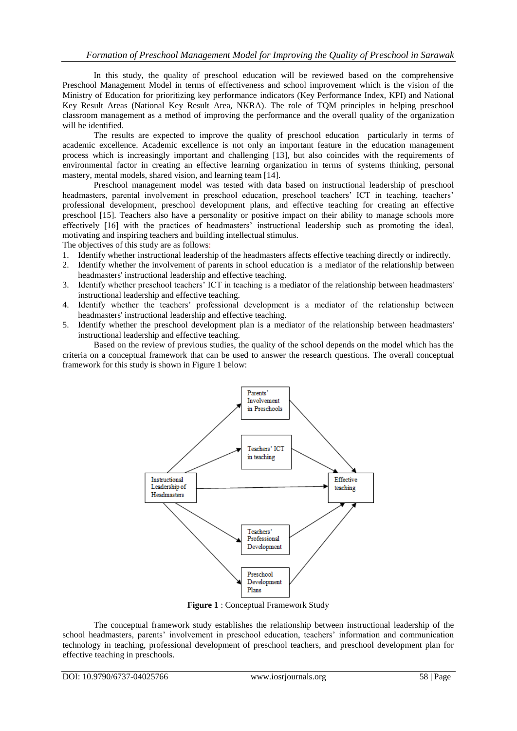In this study, the quality of preschool education will be reviewed based on the comprehensive Preschool Management Model in terms of effectiveness and school improvement which is the vision of the Ministry of Education for prioritizing key performance indicators (Key Performance Index, KPI) and National Key Result Areas (National Key Result Area, NKRA). The role of TQM principles in helping preschool classroom management as a method of improving the performance and the overall quality of the organization will be identified.

The results are expected to improve the quality of preschool education particularly in terms of academic excellence. Academic excellence is not only an important feature in the education management process which is increasingly important and challenging [13], but also coincides with the requirements of environmental factor in creating an effective learning organization in terms of systems thinking, personal mastery, mental models, shared vision, and learning team [14].

Preschool management model was tested with data based on instructional leadership of preschool headmasters, parental involvement in preschool education, preschool teachers' ICT in teaching, teachers' professional development, preschool development plans, and effective teaching for creating an effective preschool [15]. Teachers also have a personality or positive impact on their ability to manage schools more effectively [16] with the practices of headmasters' instructional leadership such as promoting the ideal, motivating and inspiring teachers and building intellectual stimulus.

The objectives of this study are as follows:

- 1. Identify whether instructional leadership of the headmasters affects effective teaching directly or indirectly.
- 2. Identify whether the involvement of parents in school education is a mediator of the relationship between headmasters' instructional leadership and effective teaching.
- 3. Identify whether preschool teachers' ICT in teaching is a mediator of the relationship between headmasters' instructional leadership and effective teaching.
- 4. Identify whether the teachers' professional development is a mediator of the relationship between headmasters' instructional leadership and effective teaching.
- 5. Identify whether the preschool development plan is a mediator of the relationship between headmasters' instructional leadership and effective teaching.

Based on the review of previous studies, the quality of the school depends on the model which has the criteria on a conceptual framework that can be used to answer the research questions. The overall conceptual framework for this study is shown in Figure 1 below:



**Figure 1** : Conceptual Framework Study

The conceptual framework study establishes the relationship between instructional leadership of the school headmasters, parents' involvement in preschool education, teachers' information and communication technology in teaching, professional development of preschool teachers, and preschool development plan for effective teaching in preschools.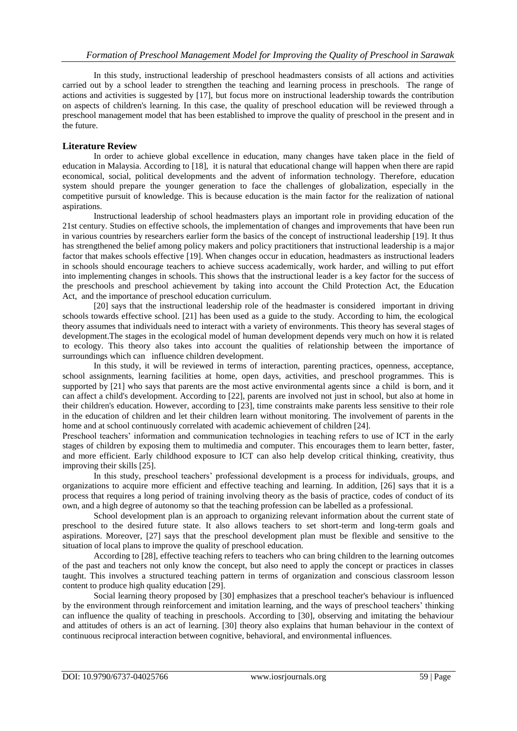In this study, instructional leadership of preschool headmasters consists of all actions and activities carried out by a school leader to strengthen the teaching and learning process in preschools. The range of actions and activities is suggested by [17], but focus more on instructional leadership towards the contribution on aspects of children's learning. In this case, the quality of preschool education will be reviewed through a preschool management model that has been established to improve the quality of preschool in the present and in the future.

### **Literature Review**

In order to achieve global excellence in education, many changes have taken place in the field of education in Malaysia. According to [18], it is natural that educational change will happen when there are rapid economical, social, political developments and the advent of information technology. Therefore, education system should prepare the younger generation to face the challenges of globalization, especially in the competitive pursuit of knowledge. This is because education is the main factor for the realization of national aspirations.

Instructional leadership of school headmasters plays an important role in providing education of the 21st century. Studies on effective schools, the implementation of changes and improvements that have been run in various countries by researchers earlier form the basics of the concept of instructional leadership [19]. It thus has strengthened the belief among policy makers and policy practitioners that instructional leadership is a major factor that makes schools effective [19]. When changes occur in education, headmasters as instructional leaders in schools should encourage teachers to achieve success academically, work harder, and willing to put effort into implementing changes in schools. This shows that the instructional leader is a key factor for the success of the preschools and preschool achievement by taking into account the Child Protection Act, the Education Act, and the importance of preschool education curriculum.

[20] says that the instructional leadership role of the headmaster is considered important in driving schools towards effective school. [21] has been used as a guide to the study. According to him, the ecological theory assumes that individuals need to interact with a variety of environments. This theory has several stages of development.The stages in the ecological model of human development depends very much on how it is related to ecology. This theory also takes into account the qualities of relationship between the importance of surroundings which can influence children development.

In this study, it will be reviewed in terms of interaction, parenting practices, openness, acceptance, school assignments, learning facilities at home, open days, activities, and preschool programmes. This is supported by [21] who says that parents are the most active environmental agents since a child is born, and it can affect a child's development. According to [22], parents are involved not just in school, but also at home in their children's education. However, according to [23], time constraints make parents less sensitive to their role in the education of children and let their children learn without monitoring. The involvement of parents in the home and at school continuously correlated with academic achievement of children [24].

Preschool teachers' information and communication technologies in teaching refers to use of ICT in the early stages of children by exposing them to multimedia and computer. This encourages them to learn better, faster, and more efficient. Early childhood exposure to ICT can also help develop critical thinking, creativity, thus improving their skills [25].

In this study, preschool teachers' professional development is a process for individuals, groups, and organizations to acquire more efficient and effective teaching and learning. In addition, [26] says that it is a process that requires a long period of training involving theory as the basis of practice, codes of conduct of its own, and a high degree of autonomy so that the teaching profession can be labelled as a professional.

School development plan is an approach to organizing relevant information about the current state of preschool to the desired future state. It also allows teachers to set short-term and long-term goals and aspirations. Moreover, [27] says that the preschool development plan must be flexible and sensitive to the situation of local plans to improve the quality of preschool education.

According to [28], effective teaching refers to teachers who can bring children to the learning outcomes of the past and teachers not only know the concept, but also need to apply the concept or practices in classes taught. This involves a structured teaching pattern in terms of organization and conscious classroom lesson content to produce high quality education [29].

Social learning theory proposed by [30] emphasizes that a preschool teacher's behaviour is influenced by the environment through reinforcement and imitation learning, and the ways of preschool teachers' thinking can influence the quality of teaching in preschools. According to [30], observing and imitating the behaviour and attitudes of others is an act of learning. [30] theory also explains that human behaviour in the context of continuous reciprocal interaction between cognitive, behavioral, and environmental influences.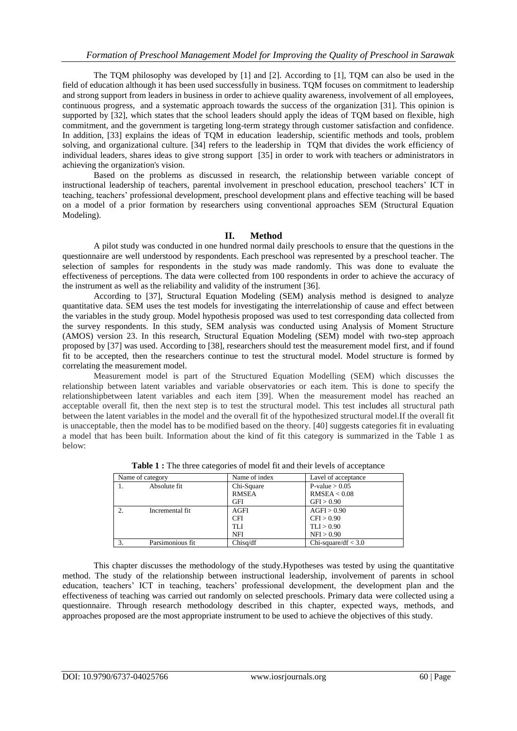The TQM philosophy was developed by [1] and [2]. According to [1], TQM can also be used in the field of education although it has been used successfully in business. TQM focuses on commitment to leadership and strong support from leaders in business in order to achieve quality awareness, involvement of all employees, continuous progress, and a systematic approach towards the success of the organization [31]. This opinion is supported by [32], which states that the school leaders should apply the ideas of TQM based on flexible, high commitment, and the government is targeting long-term strategy through customer satisfaction and confidence. In addition, [33] explains the ideas of TQM in education leadership, scientific methods and tools, problem solving, and organizational culture. [34] refers to the leadership in TQM that divides the work efficiency of individual leaders, shares ideas to give strong support [35] in order to work with teachers or administrators in achieving the organization's vision.

Based on the problems as discussed in research, the relationship between variable concept of instructional leadership of teachers, parental involvement in preschool education, preschool teachers' ICT in teaching, teachers' professional development, preschool development plans and effective teaching will be based on a model of a prior formation by researchers using conventional approaches SEM (Structural Equation Modeling).

#### **II. Method**

A pilot study was conducted in one hundred normal daily preschools to ensure that the questions in the questionnaire are well understood by respondents. Each preschool was represented by a preschool teacher. The selection of samples for respondents in the study was made randomly. This was done to evaluate the effectiveness of perceptions. The data were collected from 100 respondents in order to achieve the accuracy of the instrument as well as the reliability and validity of the instrument [36].

According to [37], Structural Equation Modeling (SEM) analysis method is designed to analyze quantitative data. SEM uses the test models for investigating the interrelationship of cause and effect between the variables in the study group. Model hypothesis proposed was used to test corresponding data collected from the survey respondents. In this study, SEM analysis was conducted using Analysis of Moment Structure (AMOS) version 23. In this research, Structural Equation Modeling (SEM) model with two-step approach proposed by [37] was used. According to [38], researchers should test the measurement model first, and if found fit to be accepted, then the researchers continue to test the structural model. Model structure is formed by correlating the measurement model.

Measurement model is part of the Structured Equation Modelling (SEM) which discusses the relationship between latent variables and variable observatories or each item. This is done to specify the relationshipbetween latent variables and each item [39]. When the measurement model has reached an acceptable overall fit, then the next step is to test the structural model. This test includes all structural path between the latent variables in the model and the overall fit of the hypothesized structural model.If the overall fit is unacceptable, then the model has to be modified based on the theory. [40] suggests categories fit in evaluating a model that has been built. Information about the kind of fit this category is summarized in the Table 1 as below:

| Name of category |                            | Name of index | Lavel of acceptance   |
|------------------|----------------------------|---------------|-----------------------|
|                  | Absolute fit<br>Chi-Square |               | P-value $> 0.05$      |
|                  |                            | <b>RMSEA</b>  | RMSEA < 0.08          |
|                  |                            | GFI           | GFI > 0.90            |
| 2.               | Incremental fit            | AGFI          | AGFI > 0.90           |
|                  |                            | <b>CFI</b>    | CFI > 0.90            |
|                  |                            | <b>TLI</b>    | TLI > 0.90            |
|                  |                            | <b>NFI</b>    | NFI > 0.90            |
| 3.               | Parsimonious fit           | Chisq/df      | Chi-square/df $<$ 3.0 |

**Table 1 :** The three categories of model fit and their levels of acceptance

This chapter discusses the methodology of the study.Hypotheses was tested by using the quantitative method. The study of the relationship between instructional leadership, involvement of parents in school education, teachers' ICT in teaching, teachers' professional development, the development plan and the effectiveness of teaching was carried out randomly on selected preschools. Primary data were collected using a questionnaire. Through research methodology described in this chapter, expected ways, methods, and approaches proposed are the most appropriate instrument to be used to achieve the objectives of this study.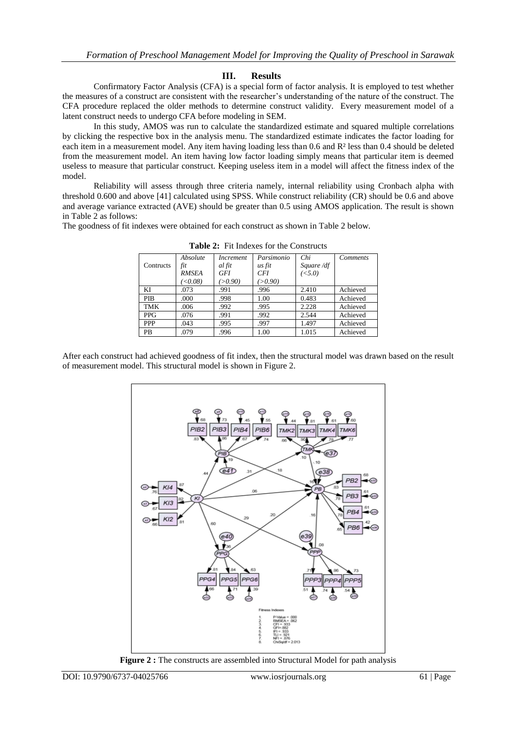### **III. Results**

Confirmatory Factor Analysis (CFA) is a special form of factor analysis. It is employed to test whether the measures of a construct are consistent with the researcher's understanding of the nature of the construct. The CFA procedure replaced the older methods to determine construct validity. Every measurement model of a latent construct needs to undergo CFA before modeling in SEM.

In this study, AMOS was run to calculate the standardized estimate and squared multiple correlations by clicking the respective box in the analysis menu. The standardized estimate indicates the factor loading for each item in a measurement model. Any item having loading less than 0.6 and R² less than 0.4 should be deleted from the measurement model. An item having low factor loading simply means that particular item is deemed useless to measure that particular construct. Keeping useless item in a model will affect the fitness index of the model.

Reliability will assess through three criteria namely, internal reliability using Cronbach alpha with threshold 0.600 and above [41] calculated using SPSS. While construct reliability (CR) should be 0.6 and above and average variance extracted (AVE) should be greater than 0.5 using AMOS application. The result is shown in Table 2 as follows:

The goodness of fit indexes were obtained for each construct as shown in Table 2 below.

|            | Absolute               | <i>Increment</i> | Parsimonio | Chi            | <b>Comments</b> |
|------------|------------------------|------------------|------------|----------------|-----------------|
| Contructs  | fit                    | al fit           | us fit     | Square /df     |                 |
|            | <b>RMSEA</b>           | <b>GFI</b>       | <b>CFI</b> | $(\bar{<}5.0)$ |                 |
|            | $\langle 0.08 \rangle$ | (>0.90)          | (>0.90)    |                |                 |
| KI         | .073                   | .991             | .996       | 2.410          | Achieved        |
| <b>PIB</b> | .000                   | .998             | 1.00       | 0.483          | Achieved        |
| <b>TMK</b> | .006                   | .992             | .995       | 2.228          | Achieved        |
| <b>PPG</b> | .076                   | .991             | .992       | 2.544          | Achieved        |
| <b>PPP</b> | .043                   | .995             | .997       | 1.497          | Achieved        |
| <b>PB</b>  | .079                   | .996             | 1.00       | 1.015          | Achieved        |

**Table 2:** Fit Indexes for the Constructs

After each construct had achieved goodness of fit index, then the structural model was drawn based on the result of measurement model. This structural model is shown in Figure 2.



**Figure 2 :** The constructs are assembled into Structural Model for path analysis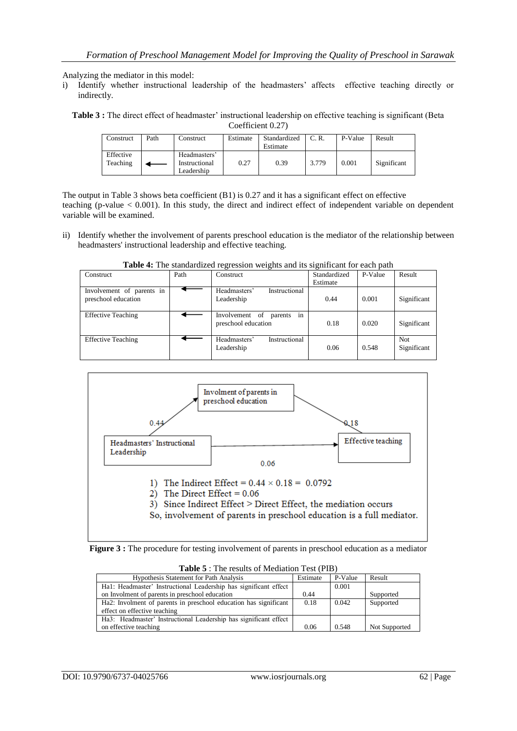Analyzing the mediator in this model:

i) Identify whether instructional leadership of the headmasters' affects effective teaching directly or indirectly.

**Table 3 :** The direct effect of headmaster' instructional leadership on effective teaching is significant (Beta Coefficient 0.27)

| Construct             | Path | Construct                                   | Estimate | Standardized<br>Estimate | C. R. | P-Value | Result      |
|-----------------------|------|---------------------------------------------|----------|--------------------------|-------|---------|-------------|
| Effective<br>Teaching |      | Headmasters'<br>Instructional<br>Leadership | 0.27     | 0.39                     | 3.779 | 0.001   | Significant |

The output in Table 3 shows beta coefficient (B1) is 0.27 and it has a significant effect on effective teaching (p-value < 0.001). In this study, the direct and indirect effect of independent variable on dependent variable will be examined.

ii) Identify whether the involvement of parents preschool education is the mediator of the relationship between headmasters' instructional leadership and effective teaching.

| Construct                                        | Path | Construct                                                 | Standardized | P-Value | Result                    |
|--------------------------------------------------|------|-----------------------------------------------------------|--------------|---------|---------------------------|
|                                                  |      |                                                           | Estimate     |         |                           |
| Involvement of parents in<br>preschool education |      | Instructional<br>Headmasters'<br>Leadership               | 0.44         | 0.001   | Significant               |
| <b>Effective Teaching</b>                        |      | in<br>Involvement<br>of<br>parents<br>preschool education | 0.18         | 0.020   | Significant               |
| <b>Effective Teaching</b>                        |      | Instructional<br>Headmasters'<br>Leadership               | 0.06         | 0.548   | <b>Not</b><br>Significant |

**Table 4:** The standardized regression weights and its significant for each path



**Figure 3 :** The procedure for testing involvement of parents in preschool education as a mediator

| $100000$ . The results of meanwhile result in                    |          |         |               |  |  |  |  |
|------------------------------------------------------------------|----------|---------|---------------|--|--|--|--|
| <b>Hypothesis Statement for Path Analysis</b>                    | Estimate | P-Value | Result        |  |  |  |  |
| Ha1: Headmaster' Instructional Leadership has significant effect |          | 0.001   |               |  |  |  |  |
| on Involment of parents in preschool education                   | 0.44     |         | Supported     |  |  |  |  |
| Ha2: Involment of parents in preschool education has significant | 0.18     | 0.042   | Supported     |  |  |  |  |
| effect on effective teaching                                     |          |         |               |  |  |  |  |
| Ha3: Headmaster' Instructional Leadership has significant effect |          |         |               |  |  |  |  |
| on effective teaching                                            | 0.06     | 0.548   | Not Supported |  |  |  |  |

**Table 5** : The results of Mediation Test (PIB)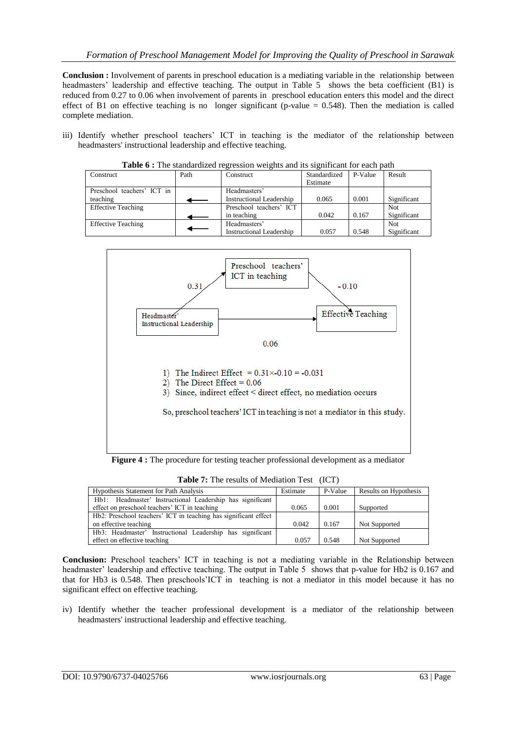**Conclusion :** Involvement of parents in preschool education is a mediating variable in the relationship between headmasters' leadership and effective teaching. The output in Table 5 shows the beta coefficient (B1) is reduced from 0.27 to 0.06 when involvement of parents in preschool education enters this model and the direct effect of B1 on effective teaching is no longer significant (p-value  $= 0.548$ ). Then the mediation is called complete mediation.

iii) Identify whether preschool teachers' ICT in teaching is the mediator of the relationship between headmasters' instructional leadership and effective teaching.

| <b>THOIC 0</b> F THE Standardized TextCoston weights and his significant for each path |                   |                                 |              |         |             |  |  |  |
|----------------------------------------------------------------------------------------|-------------------|---------------------------------|--------------|---------|-------------|--|--|--|
| Construct                                                                              | Path<br>Construct |                                 | Standardized | P-Value | Result      |  |  |  |
|                                                                                        |                   |                                 | Estimate     |         |             |  |  |  |
| Preschool teachers' ICT in                                                             |                   | Headmasters'                    |              |         |             |  |  |  |
| teaching                                                                               |                   | <b>Instructional Leadership</b> | 0.065        | 0.001   | Significant |  |  |  |
| <b>Effective Teaching</b>                                                              |                   | Preschool teachers' ICT         |              |         | Not         |  |  |  |
|                                                                                        |                   | in teaching                     | 0.042        | 0.167   | Significant |  |  |  |
| <b>Effective Teaching</b>                                                              |                   | Headmasters'                    |              |         | Not         |  |  |  |
|                                                                                        |                   | <b>Instructional Leadership</b> | 0.057        | 0.548   | Significant |  |  |  |

**Table 6 :** The standardized regression weights and its significant for each path



**Figure 4 :** The procedure for testing teacher professional development as a mediator

**Table 7:** The results of Mediation Test (ICT)

| <b>Hypothesis Statement for Path Analysis</b>                   | Estimate | P-Value | Results on Hypothesis |
|-----------------------------------------------------------------|----------|---------|-----------------------|
| Hb1: Headmaster' Instructional Leadership has significant       |          |         |                       |
| effect on preschool teachers' ICT in teaching                   | 0.065    | 0.001   | Supported             |
| Hb2: Preschool teachers' ICT in teaching has significant effect |          |         |                       |
| on effective teaching                                           | 0.042    | 0.167   | Not Supported         |
| Hb3: Headmaster' Instructional Leadership has significant       |          |         |                       |
| effect on effective teaching                                    | 0.057    | 0.548   | Not Supported         |

**Conclusion:** Preschool teachers' ICT in teaching is not a mediating variable in the Relationship between headmaster' leadership and effective teaching. The output in Table 5 shows that p-value for Hb2 is 0.167 and that for Hb3 is 0.548. Then preschools'ICT in teaching is not a mediator in this model because it has no significant effect on effective teaching.

iv) Identify whether the teacher professional development is a mediator of the relationship between headmasters' instructional leadership and effective teaching.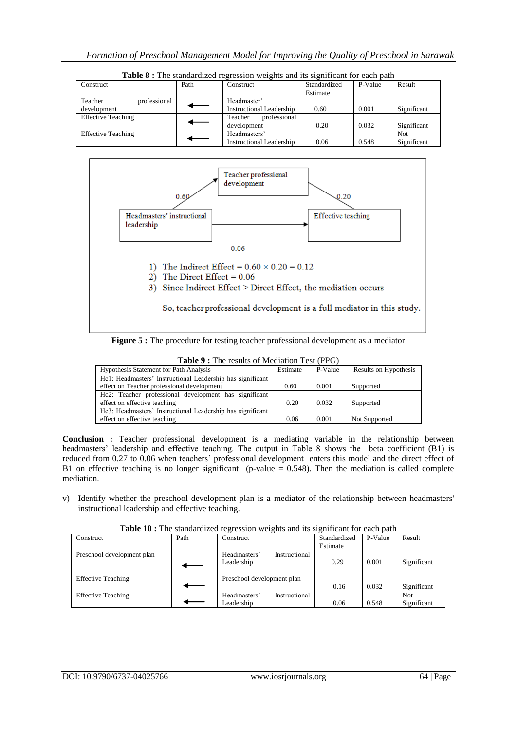| Construct                 | Path | Construct                | Standardized | P-Value | Result      |
|---------------------------|------|--------------------------|--------------|---------|-------------|
|                           |      |                          | Estimate     |         |             |
| professional<br>Teacher   |      | Headmaster'              |              |         |             |
| development               |      | Instructional Leadership | 0.60         | 0.001   | Significant |
| <b>Effective Teaching</b> |      | professional<br>Teacher  |              |         |             |
|                           |      | development              | 0.20         | 0.032   | Significant |
| <b>Effective Teaching</b> |      | Headmasters'             |              |         | <b>Not</b>  |
|                           |      | Instructional Leadership | 0.06         | 0.548   | Significant |

**Table 8 :** The standardized regression weights and its significant for each path



**Figure 5 :** The procedure for testing teacher professional development as a mediator

**Table 9 :** The results of Mediation Test (PPG)

| Estimate | P-Value | Results on Hypothesis |  |  |  |  |  |  |  |
|----------|---------|-----------------------|--|--|--|--|--|--|--|
|          |         |                       |  |  |  |  |  |  |  |
| 0.60     | 0.001   | Supported             |  |  |  |  |  |  |  |
|          |         |                       |  |  |  |  |  |  |  |
| 0.20     | 0.032   | Supported             |  |  |  |  |  |  |  |
|          |         |                       |  |  |  |  |  |  |  |
| 0.06     | 0.001   | Not Supported         |  |  |  |  |  |  |  |
|          |         |                       |  |  |  |  |  |  |  |

**Conclusion :** Teacher professional development is a mediating variable in the relationship between headmasters' leadership and effective teaching. The output in Table 8 shows the beta coefficient (B1) is reduced from 0.27 to 0.06 when teachers' professional development enters this model and the direct effect of B1 on effective teaching is no longer significant (p-value  $= 0.548$ ). Then the mediation is called complete mediation.

v) Identify whether the preschool development plan is a mediator of the relationship between headmasters' instructional leadership and effective teaching.

| Construct                  | Path | Construct                     | Standardized | P-Value | Result      |
|----------------------------|------|-------------------------------|--------------|---------|-------------|
|                            |      |                               | Estimate     |         |             |
| Preschool development plan |      | Instructional<br>Headmasters' |              |         |             |
|                            |      | Leadership                    | 0.29         | 0.001   | Significant |
|                            |      |                               |              |         |             |
| <b>Effective Teaching</b>  |      | Preschool development plan    |              |         |             |
|                            |      |                               | 0.16         | 0.032   | Significant |
| <b>Effective Teaching</b>  |      | Headmasters'<br>Instructional |              |         | Not         |
|                            |      | Leadership                    | 0.06         | 0.548   | Significant |

**Table 10 :** The standardized regression weights and its significant for each path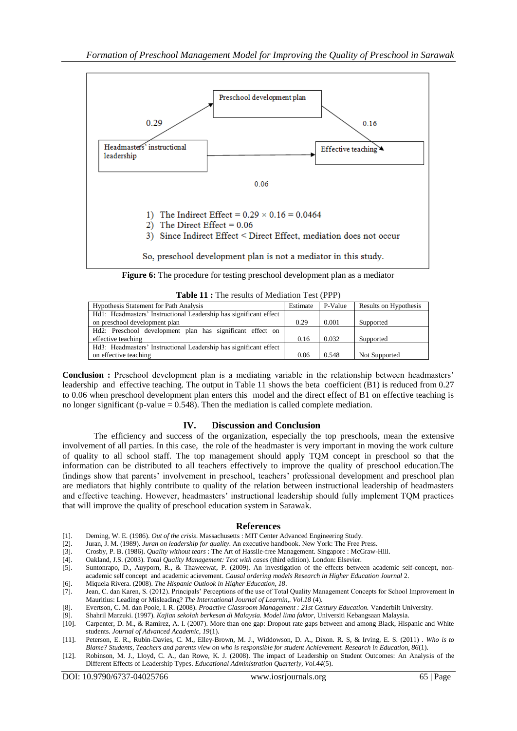

**Figure 6:** The procedure for testing preschool development plan as a mediator

| <b>Table 11:</b> The results of Mediation Test (PPP) |  |  |  |  |  |  |  |  |  |
|------------------------------------------------------|--|--|--|--|--|--|--|--|--|
|------------------------------------------------------|--|--|--|--|--|--|--|--|--|

| <b>Hypothesis Statement for Path Analysis</b>                     | Estimate | P-Value | Results on Hypothesis |
|-------------------------------------------------------------------|----------|---------|-----------------------|
| Hd1: Headmasters' Instructional Leadership has significant effect |          |         |                       |
| on preschool development plan                                     | 0.29     | 0.001   | Supported             |
| Hd2: Preschool development plan has significant effect on         |          |         |                       |
| effective teaching                                                | 0.16     | 0.032   | Supported             |
| Hd3: Headmasters' Instructional Leadership has significant effect |          |         |                       |
| on effective teaching                                             | 0.06     | 0.548   | Not Supported         |

**Conclusion :** Preschool development plan is a mediating variable in the relationship between headmasters' leadership and effective teaching. The output in Table 11 shows the beta coefficient (B1) is reduced from 0.27 to 0.06 when preschool development plan enters this model and the direct effect of B1 on effective teaching is no longer significant (p-value  $= 0.548$ ). Then the mediation is called complete mediation.

#### **IV. Discussion and Conclusion**

The efficiency and success of the organization, especially the top preschools, mean the extensive involvement of all parties. In this case, the role of the headmaster is very important in moving the work culture of quality to all school staff. The top management should apply TQM concept in preschool so that the information can be distributed to all teachers effectively to improve the quality of preschool education.The findings show that parents' involvement in preschool, teachers' professional development and preschool plan are mediators that highly contribute to quality of the relation between instructional leadership of headmasters and effective teaching. However, headmasters' instructional leadership should fully implement TQM practices that will improve the quality of preschool education system in Sarawak.

#### **References**

- [1]. Deming, W. E. (1986). *Out of the crisis*. Massachusetts : MIT Center Advanced Engineering Study.
- [2]. Juran, J. M. (1989). *Juran on leadership for quality*. An executive handbook. New York: The Free Press.
- [3]. Crosby, P. B. (1986). *Quality without tears* : The Art of Hasslle-free Management. Singapore : McGraw-Hill.
- [4]. Oakland, J.S. (2003). *Total Quality Management: Text with cases* (third edition). London: Elsevier.
- [5]. Suntonrapo, D., Auyporn, R., & Thaweewat, P. (2009). An investigation of the effects between academic self-concept, nonacademic self concept and academic acievement. *Causal ordering models Research in Higher Education Journal* 2.
- [6]. Miquela Rivera. (2008). *The Hispanic Outlook in Higher Education, 18*.
- [7]. Jean, C. dan Karen, S. (2012). Principals' Perceptions of the use of Total Quality Management Concepts for School Improvement in Mauritius: Leading or Misleading? *The International Journal of Learnin,. Vol.18* (4).
- [8]. Evertson, C. M. dan Poole, I. R. (2008). *Proactive Classroom Management : 21st Century Education.* Vanderbilt University.
- [9]. Shahril Marzuki. (1997). *Kajian sekolah berkesan di Malaysia. Model lima faktor*, Universiti Kebangsaan Malaysia.
- [10]. Carpenter, D. M., & Ramirez, A. I. (2007). More than one gap: Dropout rate gaps between and among Black, Hispanic and White students. *Journal of Advanced Academic, 19*(1).
- [11]. Peterson, E. R., Rubin-Davies, C. M., Elley-Brown, M. J., Widdowson, D. A., Dixon. R. S, & Irving, E. S. (2011) . *Who is to Blame? Students, Teachers and parents view on who is responsible for student Achievement. Research in Education, 86*(1).
- [12]. Robinson, M. J., Lloyd, C. A., dan Rowe, K. J. (2008). The impact of Leadership on Student Outcomes: An Analysis of the Different Effects of Leadership Types. *Educational Administration Quarterly, Vol.44*(5).